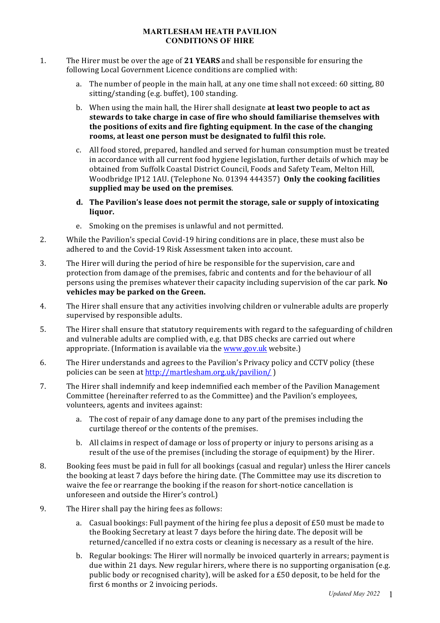### **MARTLESHAM HEATH PAVILION CONDITIONS OF HIRE**

- 1. The Hirer must be over the age of 21 **YEARS** and shall be responsible for ensuring the following Local Government Licence conditions are complied with:
	- a. The number of people in the main hall, at any one time shall not exceed: 60 sitting, 80 sitting/standing (e.g. buffet), 100 standing.
	- b. When using the main hall, the Hirer shall designate **at least two people to act as** stewards to take charge in case of fire who should familiarise themselves with **the positions of exits and fire fighting equipment. In the case of the changing** rooms, at least one person must be designated to fulfil this role.
	- c. All food stored, prepared, handled and served for human consumption must be treated in accordance with all current food hygiene legislation, further details of which may be obtained from Suffolk Coastal District Council, Foods and Safety Team, Melton Hill, Woodbridge IP12 1AU. (Telephone No. 01394 444357) **Only the cooking facilities** supplied may be used on the premises.
	- d. The Pavilion's lease does not permit the storage, sale or supply of intoxicating **liquor.**
	- e. Smoking on the premises is unlawful and not permitted.
- 2. While the Pavilion's special Covid-19 hiring conditions are in place, these must also be adhered to and the Covid-19 Risk Assessment taken into account.
- 3. The Hirer will during the period of hire be responsible for the supervision, care and protection from damage of the premises, fabric and contents and for the behaviour of all persons using the premises whatever their capacity including supervision of the car park. **No** vehicles may be parked on the Green.
- 4. The Hirer shall ensure that any activities involving children or vulnerable adults are properly supervised by responsible adults.
- 5. The Hirer shall ensure that statutory requirements with regard to the safeguarding of children and vulnerable adults are complied with, e.g. that DBS checks are carried out where appropriate. (Information is available via the www.gov.uk website.)
- 6. The Hirer understands and agrees to the Pavilion's Privacy policy and CCTV policy (these policies can be seen at http://martlesham.org.uk/pavilion/ )
- 7. The Hirer shall indemnify and keep indemnified each member of the Pavilion Management Committee (hereinafter referred to as the Committee) and the Pavilion's employees, volunteers, agents and invitees against:
	- a. The cost of repair of any damage done to any part of the premises including the curtilage thereof or the contents of the premises.
	- b. All claims in respect of damage or loss of property or injury to persons arising as a result of the use of the premises (including the storage of equipment) by the Hirer.
- 8. Booking fees must be paid in full for all bookings (casual and regular) unless the Hirer cancels the booking at least 7 days before the hiring date. (The Committee may use its discretion to waive the fee or rearrange the booking if the reason for short-notice cancellation is unforeseen and outside the Hirer's control.)
- 9. The Hirer shall pay the hiring fees as follows:
	- a. Casual bookings: Full payment of the hiring fee plus a deposit of  $£50$  must be made to the Booking Secretary at least 7 days before the hiring date. The deposit will be returned/cancelled if no extra costs or cleaning is necessary as a result of the hire.
	- b. Regular bookings: The Hirer will normally be invoiced quarterly in arrears; payment is due within 21 days. New regular hirers, where there is no supporting organisation (e.g. public body or recognised charity), will be asked for a  $E$ 50 deposit, to be held for the first 6 months or 2 invoicing periods.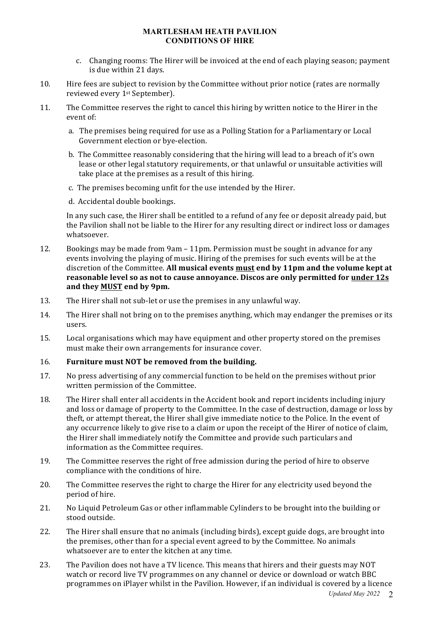#### **MARTLESHAM HEATH PAVILION CONDITIONS OF HIRE**

- c. Changing rooms: The Hirer will be invoiced at the end of each playing season; payment is due within 21 days.
- 10. Hire fees are subject to revision by the Committee without prior notice (rates are normally reviewed every 1<sup>st</sup> September).
- 11. The Committee reserves the right to cancel this hiring by written notice to the Hirer in the event of:
	- a. The premises being required for use as a Polling Station for a Parliamentary or Local Government election or bye-election.
	- b. The Committee reasonably considering that the hiring will lead to a breach of it's own lease or other legal statutory requirements, or that unlawful or unsuitable activities will take place at the premises as a result of this hiring.
	- c. The premises becoming unfit for the use intended by the Hirer.
	- d. Accidental double bookings.

In any such case, the Hirer shall be entitled to a refund of any fee or deposit already paid, but the Pavilion shall not be liable to the Hirer for any resulting direct or indirect loss or damages whatsoever.

- 12. Bookings may be made from  $9$ am 11pm. Permission must be sought in advance for any events involving the playing of music. Hiring of the premises for such events will be at the discretion of the Committee. All musical events must end by 11pm and the volume kept at **reasonable level so as not to cause annoyance. Discos are only permitted for under 12s** and they **MUST** end by 9pm.
- 13. The Hirer shall not sub-let or use the premises in any unlawful way.
- 14. The Hirer shall not bring on to the premises anything, which may endanger the premises or its users.
- 15. Local organisations which may have equipment and other property stored on the premises must make their own arrangements for insurance cover.

### 16. **Furniture must NOT be removed from the building.**

- 17. No press advertising of any commercial function to be held on the premises without prior written permission of the Committee.
- 18. The Hirer shall enter all accidents in the Accident book and report incidents including injury and loss or damage of property to the Committee. In the case of destruction, damage or loss by theft, or attempt thereat, the Hirer shall give immediate notice to the Police. In the event of any occurrence likely to give rise to a claim or upon the receipt of the Hirer of notice of claim, the Hirer shall immediately notify the Committee and provide such particulars and information as the Committee requires.
- 19. The Committee reserves the right of free admission during the period of hire to observe compliance with the conditions of hire.
- 20. The Committee reserves the right to charge the Hirer for any electricity used beyond the period of hire.
- 21. No Liquid Petroleum Gas or other inflammable Cylinders to be brought into the building or stood outside.
- 22. The Hirer shall ensure that no animals (including birds), except guide dogs, are brought into the premises, other than for a special event agreed to by the Committee. No animals whatsoever are to enter the kitchen at any time.
- 23. The Pavilion does not have a TV licence. This means that hirers and their guests may NOT watch or record live TV programmes on any channel or device or download or watch BBC programmes on iPlayer whilst in the Pavilion. However, if an individual is covered by a licence